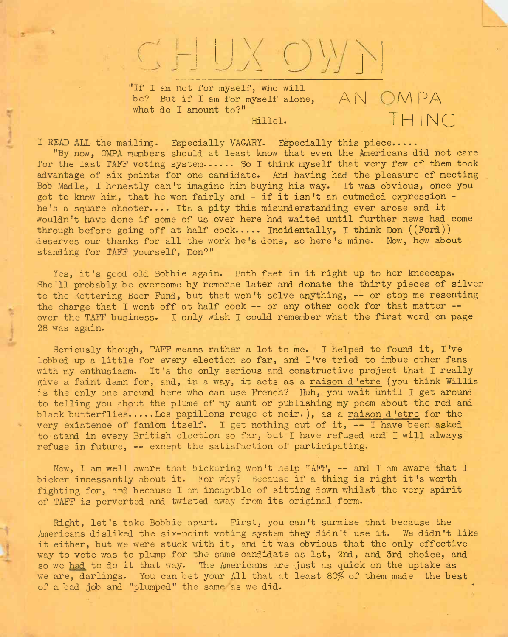## CHUXOWN

"If I am not for myself, who will be? But if I am for myself alone,  $\forall$  N OMPA what do I amount to?" miiei. THING

I READ ALL the mailing. Especially VAGARY. Especially this piece.....

"By now, OMPA members should at least know that even the Americans did not care for the last TAFF voting system..... So I think myself that very few of them took advantage of six points for one candidate. And having had the pleasure of meeting Bob Madle, I honestly can't imagine him buying his way. It was obvious, once you got to know him, that he won fairly and - if it isn't an outmoded expression he's a square shooter.... Its a pity this misunderstanding ever arose and it wouldn't have done if some of us over here had waited until further news had come through before going off at half cock..... Incidentally, I think Don  $((\text{Ford}))$ deserves our thanks for all the work he's done, so here's mine. Now, how about standing for TAFF yourself, Don?"

Yes, it's good old Bobbie again. Both feet in it right up to her kneecaps. She'll probably be overcome by remorse later and donate the thirty pieces of silver to the Kettering Beer Fund, but that won'<sup>t</sup> solve anything, — or stop me resenting the charge that I went off at half cock  $--$  or any other cock for that matter  $-$ over the TAFF business. I only wish I could remember what the first word on page 28 was again.

Seriously though, TAFF means rather a lot to me. I helped to found it, I've lobbed up a little for every election so far, and I've tried to imbue other fans with my enthusiasm. It's the only serious and constructive project that I really give a faint damn for, and, in a way, it acts as a raison d 'etre (you think Willis is the only one around here who can use French? Huh, you wait until I get around to telling you about the plume of my aunt or publishing my poem about the red and black butterflies.... Les papillons rouge et noir. ), as a raison d 'etre for the very existence of fandom itself. I get nothing out of it, -- I have been asked to stand in every British election so far, but I have refused and I will always refuse in future, — except the satisfaction of participating.

Now, <sup>I</sup> am well aware that bickering won't help TAFF, — and <sup>I</sup> am aware that <sup>I</sup> bicker incessantly about it. For why? Because if a thing is right it's worth fighting for, and because I am incapable of sitting down whilst the very spirit of TAFF is perverted and twisted away from its original form.

Right, let's take Bobbie apart. First, you can't surmise that because the Americans disliked the six-point voting system they didn't use it. We didn't like it either, but we were stuck with it, and it was obvious that the only effective way to vote was to plump for the same candidate as 1st, 2nd, and 3rd choice, and so we had to do it that way. The Americans are just as quick on the uptake as we are, darlings. You can bet your All that at least 80% of them made the best of a bad job and "plumped" the same as we did.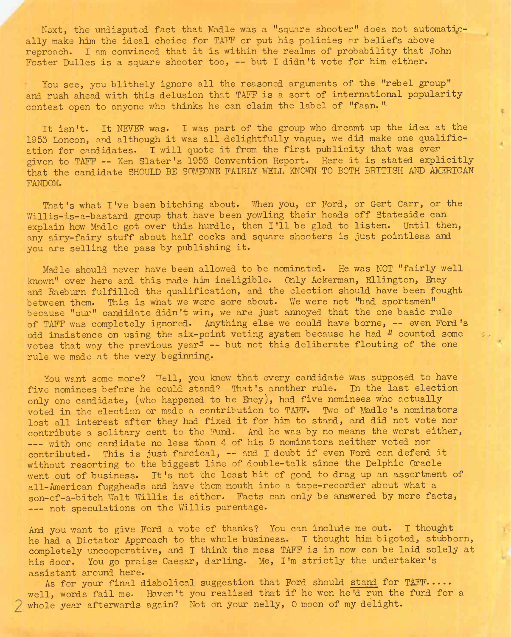Next, the undisputed fact that Madle was a "square shooter" does not automatically make him the ideal choice for TAFF or put his policies or beliefs above reproach. I am convinced that it is within the realms of probability that John Foster Dulles is a square shooter too, -- but I didn't vote for him either.

You see, you blithely ignore all the reasoned arguments of the "rebel group" and rush ahead with this delusion that TAFF is a sort of international popularity contest open to anyone who thinks he can claim the label of "faan. "

It isn't. It NEVER was. I was part of the group who dreamt up the idea at the 1953 Loncon, and although it was all delightfully vague, we did make one qualification for candidates. I will quote it from the first publicity that was ever given to TAFF -- Ken Slater's 1953 Convention Report. Here it is stated explicitly that the candidate SHOULD BE SOMEONE FAIRLY WELL KNOWN TO BOTH BRITISH AND AMERICAN FANDOM.

That's what I've been bitching about. When you, or Ford, or Gert Carr, or the Willis-is-a-bastard group that have been yowling their heads off Stateside can explain how Madle got over this hurdle, then I'll be glad to listen. Until then, any airy-fairy stuff about half cocks and square shooters is just pointless and you are selling the pass by publishing it.

Madle should never have been allowed to be nominated. He was NOT "fairly well known" over here and this made him ineligible. Only Ackerman, Ellington, Eney and Raeburn fulfilled the qualification, and the election should have been fought between them. This is what we were sore about. We were not "bad sportsmen" because "our" candidate didn't win, we are just annoyed that the one basic rule of TAFF was completely ignored. Anything else we could have borne, -- even Ford's odd insistence on using the six-point voting system because he had " counted some votes that way the previous year<sup>1</sup> -- but not this deliberate flouting of the one rule we made at the very beginning.

You want some more? Well, you know that every candidate was supposed to have five nominees before he could stand? That's another rule. In the last election only one candidate, (who happened to be Eney), had five nominees who actually voted in the election or made a contribution to TAFF. Two of Madle's nominators lost all interest after they had fixed it for him to stand, and did not vote nor contribute a solitary cent to the Fund. And he was by no means the worst either, --- with one candidate no less than 4 of his 5 nominators neither voted nor contributed. This is just farcical, — and. <sup>I</sup> doubt if even Ford can defend it without resorting to the biggest line of double-talk since the Delphic Oracle went out of business. It's not the least bit of good to drag up an assortment of all-American fuggheads and have them mouth into a tape-recorder about what a son-of-a-bitch Walt Willis is either. Facts can only be answered by more facts, -- not speculations on the Willis parentage.

And you want to give Ford a vote of thanks? You can include me out. I thought he had a Dictator Approach to the whole business. I thought him bigoted, stubborn, completely uncooperative, and I think the mess TAFF, is in now can be laid solely at his door. You go praise Caesar, darling. Me, I'm strictly the undertaker's assistant around here.

As for your final diabolical suggestion that Ford should stand for TAFF..... well, words fail me. Haven't you realised that if he won he'd run the fund for a whole year afterwards again? Not on your nelly, 0 moon of my delight.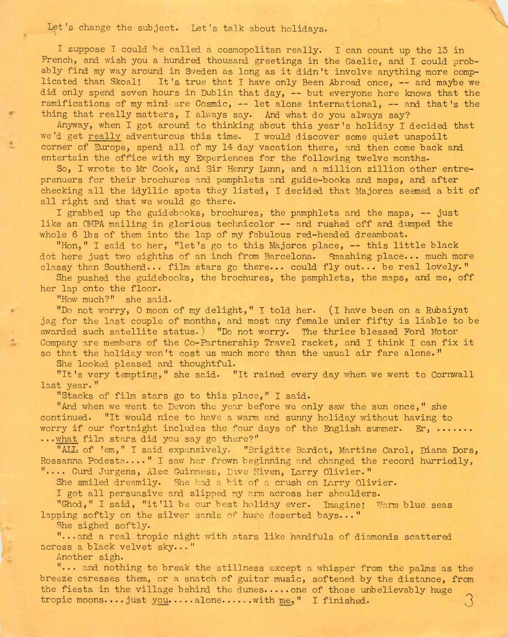Let's change the subject. Let's talk about holidays.

I suppose I could be called a cosmopolitan really. I can count up the 13 in French, and wish you a hundred thousand greetings in the Gaelic, and I could probably find my way around in Sweden as long as it didn't involve anything more complicated than Skoal! It's true that <sup>I</sup> have only Been Abroad once, — and maybe we did only spend seven hours in Dublin that day, — but everyone here knows that the ramifications of my mind are Cosmic, — let alone international, — and that's the thing that really matters, I always say. And what do you always say?

Anyway, when I got around to thinking about this year's holiday I decided that we'd get really adventurous this time. I would discover some quiet unspoilt corner of Europe, spend all of my 14 day vacation there, and then come back and entertain the office with my Experiences for the following twelve months.

So, I wrote to Mr Cook, and Sir Henry Lunn, and a million zillion other entreprenuers for their brochures and pamphlets and guide-books and maps, and after checking all the idyllic spots they listed, I decided that Majorca seemed a bit of all right and that we would go there.

<sup>I</sup> grabbed up the guidebooks, brochures, the pamphlets and the maps, — just like an CMPA mailing in glorious technicolor — and rushed off and dumped the whole 6 lbs of them into the lap of my fabulous red-headed dreamboat.

"Hon," <sup>I</sup> said to her, "let's go to this Majorca place, — this little black dot here just two eighths of an inch from Barcelona. Smashing place... much more classy than Southend... film stars go there... could fly out... be real lovely."

She pushed the guidebooks, the brochures, the pamphlets, the maps, and me, off her lap onto the floor.

"How much?" she said-

"Do not worry, O moon of my delight," I told her. (I have been on a Rubaiyat jag for the last couple of months, and most any female under fifty is liable to be awarded such satellite status.) "Do not worry. The thrice blessed Ford Motor Company are members of the Co-Partnership Travel racket, and I think I can fix it so that the holiday won't cost us much more than the usual air fare alone."

She looked pleased and thoughtful.

"It's very tempting," she said. "It rained every day when we went to Cornwall last year."

"Stacks of film stars go to this place," I said.

"And when we went to Devon the year before we only saw the sun once," she continued. "It would nice to have a warm and sunny holiday without having to worry if our fortnight includes the four days of the English summer. Er, ....... ...what film stars did you say go there?"

"ALL of 'em," I said expansively. "Brigitte Bardot, Martine Carol, Diana Dors, Rossanna Podesta...." I saw her frown beginning and changed the record hurriedly, ".... Curd Jurgens, Alec Guinness, Dave Niven, Larry Olivier."

She smiled dreamily. She had a bit of a crush on Larry Olivier.

I got all persuasive and slipped my arm across her shoulders.

"Ghod," I said, "it'll be our best holiday ever. Imagine! Warm blue seas lapping softly on the silver sands of huge deserted bays..."

She sighed softly.

"...and a real tropic night with stars like handfuls of diamonds scattered across a black velvet sky..."

Another sigh.

"... and nothing to break the stillness except a whisper from the palms as the breeze caresses them, or a snatch of guitar music, softened by the distance, from the fiesta in the village behind the dunes.... one of those unbelievably huge tropic moons.... just you....alone......with me," I finished.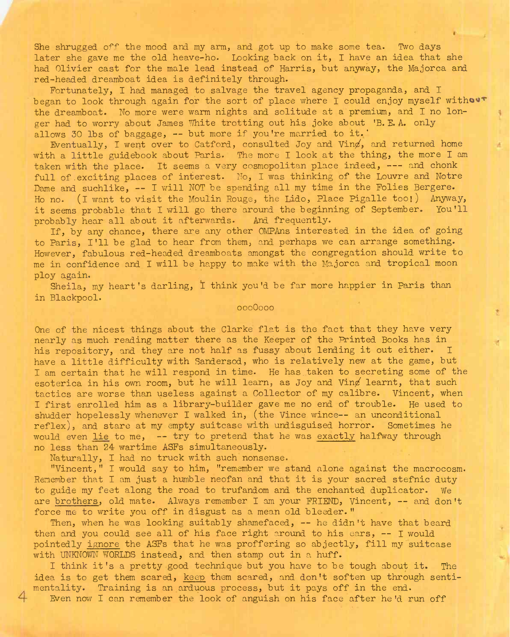She shrugged off the mood and my arm, and got up to make some tea. Two days later she gave me the old heave-ho. Looking hack on it, I have an idea that she had Olivier cast for the male lead instead of Harris, but anyway, the Majorca and red-headed dreamboat idea is definitely through.

Fortunately, I had managed to salvage the travel agency propaganda, and I began to look through again for the sort of place where I could enjoy myself without the dreamboat. No more were warm nights and solitude at a premium, and I no longer had to worry about James White trotting out his joke about 'B. E. A. only allows 30 lbs of baggage, -- but more if you're married to it.'

Eventually, I went over to Catford, consulted Joy and Ving, and returned home with a little guidebook about Paris. The more I look at the thing, the more I am taken with the place. It seems a very cosmopolitan place indeed, --- and chonk full of exciting places of interest. No, I was thinking of the Louvre and Notre Dame and suchlike, -- I will NOT be spending all my time in the Folies Bergere. Ho no. (I want to visit the Moulin Rouge, the Lido, Place Pigalle too!) Anyway, it seems probable that I will go there around the beginning of September. You'll probably hear all about it afterwards. And frequently.

If, by any chance, there are any other OMPAns interested in the idea of going to Paris, I'll be glad to hear from them, and perhaps *we* can arrange something. However, fabulous red-headed dreamboats amongst the congregation should write to me in confidence and I will be happy to make with the Majorca and tropical moon ploy again.

Sheila, my heart's darling, I think you'd be far more happier in Paris than in Blackpool.

000O000

One of the nicest things about the Clarke flat is the fact that they have very nearly as much reading matter there as the Keeper of the Printed Books has in his repository, and they are not half as fussy about lending it out either. I have a little difficulty with Sandersod, who is relatively new at the game, but I am certain that he will respond in time. He has taken to secreting some of the esoterica in his own room, but he will learn, as Joy and Ving learnt, that such tactics are worse than useless against a Collector of my calibre. Vincent, when I first enrolled him as a library-builder gave me no end of trouble. He used to shudder hopelessly whenever <sup>I</sup> walked in, (the Vince wince— an unconditional reflex), and stare at my empty suitcase with undisguised horror. Sometimes he would even lie to me, — try to pretend that he was exactly halfway through no less than 24 wartime ASFs simultaneously.

Naturally, I had no truck with such nonsense.

"Vincent," I would say to him, "remember we stand alone against the macrocosm. Remember that I am just a humble neofan and that it is your sacred stefnic duty to guide my feet along the road to trufandom and the enchanted duplicator. We are brothers, old mate. Always remember <sup>I</sup> am your FRIEND, Vincent, — and don't force me to write you off in disgust as a mean old bleeder."

Then, when he was looking suitably shamefaced, -- he didn't have that beard then and you could see all of his face right around to his ears, -- I would pointedly ignore the ASFs that he was proffering so abjectly, fill my suitcase with UNKNOWN WORLDS instead, and then stamp out in a huff.

I think it's a pretty good technique but you have to be tough about it. The idea is to get them scared, keep them scared, and don't soften up through sentimentality. Training is an arduous process, but it pays off in the end.

Even now I can remember the look of anguish on his face after he'd run off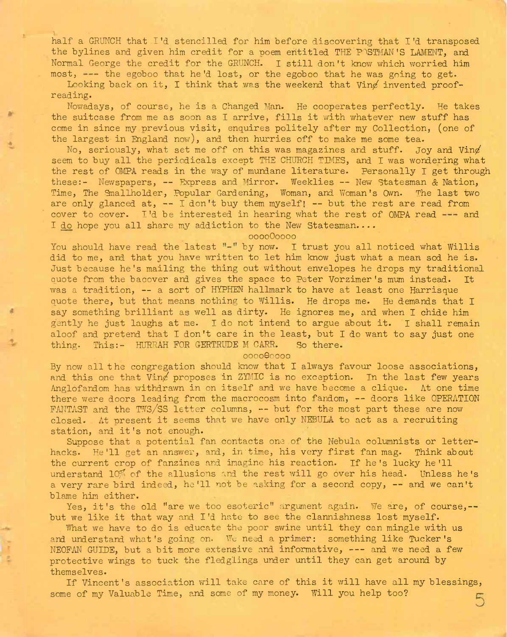half a GRUNCH that I'd stencilled for him before discovering that I'd transposed the bylines and given him credit for a poem entitled THE POSTMAN'S LAMENT, and Normal George the credit for the CRUNCH. I still don't know which worried him most,  $---$  the egoboo that he'd lost, or the egoboo that he was going to get.

Looking back on it, I think that was the weekend that Ving invented proofreading.

Nowadays, of course, he is a Changed Man. He cooperates perfectly. He takes the suitcase from me as soon as I arrive, fills it with whatever new stuff has come in since my previous visit, enquires politely after my Collection, (one of the largest in England now), and then hurries off to make me some tea.

No, seriously, what set me off on this was magazines and stuff. Joy and Vind seem to buy all the periodicals except THE CHURCH TIMES, and I was wondering what the rest of OMPA reads in the way of mundane literature. Personally I get through these:- Newspapers, — Express and Mirror. Weeklies — New Statesman & Nation, Time, The Smallholder, Popular Gardening, Woman, and Woman's Own. The last wo are only glanced at,  $--$  I don't buy them myself!  $--$  but the rest are read from cover to cover. I'd be interested in hearing what the rest of OMPA read  $---$  and I do hope you all share my addiction to the New Statesman....

000000000

You should have read the latest  $"$ -" by now. I trust you all noticed what Willis did to me, and that you have written to let him know just what a mean sod he is. Just because he's mailing the thing out without envelopes he drops my traditional quote from the bacover and gives the space to Peter Vorzimer's mum instead. It was <sup>a</sup> tradition, — <sup>a</sup> sort of HYPHEN hallmark to have at least one Harrisque quote there, but that means nothing to Willis. He drops me. He demands that I say something brilliant as well as dirty. He ignores me, and when I chide him gently he just laughs at me. I do not intend to argue about it. I shall remain aloof and pretend that I don't care in the least, but I do want to say just one thing. This:- HURRAH FOR GERTRUDE M CARR. So there.

0000Q0000

By now all the congregation should know that I always favour loose associations, and this one that  $V$ ing proposes in ZYMIC is no exception. In the last few years Anglofandom has withdrawn in on itself and we have become a clique. At one time there were doors leading from the macrocosm into fandom, -- doors like OPERATION FANTAST and the TWS/SS letter columns, — but for the most part these are now closed. At present it seems that we have only NEBULA to act as a recruiting station, and it's not enough.

Suppose that a potential fan contacts one.of the Nebula columnists or letterhacks. He'll get an answer, and, in time, his very first fan mag. Think about the current crop of fanzines and imagine his reaction. If he's lucky he'll understand 10% of the allusions and the rest will go over his head. Unless he's <sup>a</sup> very rare bird indeed, he'll not be asking for <sup>a</sup> second copy, — and we can't blame him either.

Yes, it's the old "are we too esoteric" argument again. We are, of course,-but we like it that way and I'd hate to see the clannishness lost myself.

What we have to do is educate the poor swine until they can mingle with us and understand what's going on. We need a primer: something like Tucker's NEOFAN GUIDE, but a bit more extensive and informative, --- and we need a few protective wings to tuck the fledglings under until they can get around by themselves.

If Vincent's association will take care of this it will have all my blessings, some of my Valuable Time, and some of my money. Will you help too?